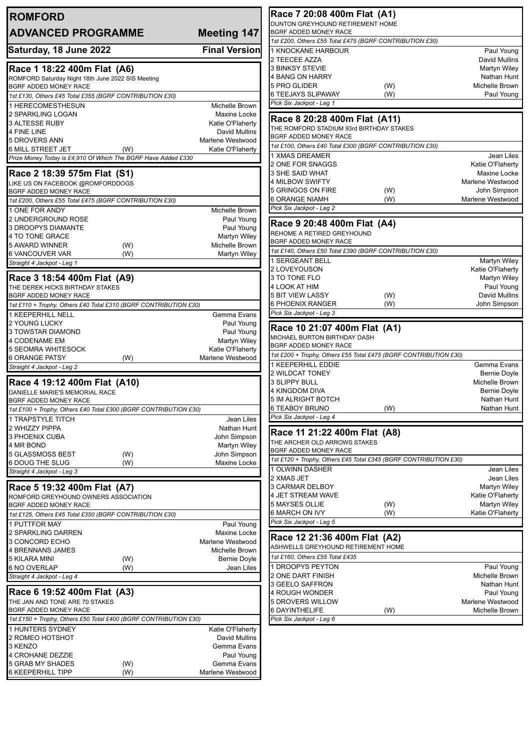| <b>ROMFORD</b>                                                                            |                                          | Race 7 20:08 400m Flat (A1)                                                               |            |                                    |
|-------------------------------------------------------------------------------------------|------------------------------------------|-------------------------------------------------------------------------------------------|------------|------------------------------------|
| <b>ADVANCED PROGRAMME</b>                                                                 | <b>Meeting 147</b>                       | DUNTON GREYHOUND RETIREMENT HOME<br>BGRF ADDED MONEY RACE                                 |            |                                    |
|                                                                                           |                                          | 1st £200, Others £55 Total £475 (BGRF CONTRIBUTION £30)                                   |            |                                    |
| Saturday, 18 June 2022                                                                    | <b>Final Version</b>                     | 1 KNOCKANE HARBOUR<br>2 TEECEE AZZA                                                       |            | Paul Young<br>David Mullins        |
| Race 1 18:22 400m Flat (A6)                                                               |                                          | <b>3 BINKSY STEVIE</b>                                                                    |            | Martyn Wiley                       |
| ROMFORD Saturday Night 18th June 2022 SIS Meeting                                         |                                          | 4 BANG ON HARRY                                                                           |            | Nathan Hunt                        |
| BGRF ADDED MONEY RACE<br>1st £130, Others £45 Total £355 (BGRF CONTRIBUTION £30)          |                                          | 5 PRO GLIDER<br>6 TEEJAYS SLIPAWAY                                                        | (W)<br>(W) | Michelle Brown<br>Paul Young       |
| 1 HERECOMESTHESUN                                                                         | Michelle Brown                           | Pick Six Jackpot - Leg 1                                                                  |            |                                    |
| 2 SPARKLING LOGAN                                                                         | Maxine Locke                             | Race 8 20:28 400m Flat (A11)                                                              |            |                                    |
| <b>3 ALTESSE RUBY</b><br>4 FINE LINE                                                      | Katie O'Flaherty<br><b>David Mullins</b> | THE ROMFORD STADIUM 93rd BIRTHDAY STAKES                                                  |            |                                    |
| 5 DROVERS ANN                                                                             | Marlene Westwood                         | BGRF ADDED MONEY RACE                                                                     |            |                                    |
| <b>6 MILL STREET JET</b><br>(W)                                                           | Katie O'Flaherty                         | 1st £100, Others £40 Total £300 (BGRF CONTRIBUTION £30)                                   |            |                                    |
| Prize Money Today is £4,910 Of Which The BGRF Have Added £330                             |                                          | 1 XMAS DREAMER<br>2 ONE FOR SNAGGS                                                        |            | Jean Liles<br>Katie O'Flaherty     |
| Race 2 18:39 575m Flat (S1)                                                               |                                          | 3 SHE SAID WHAT                                                                           |            | Maxine Locke                       |
| LIKE US ON FACEBOOK @ROMFORDDOGS                                                          |                                          | 4 MILBOW SWIFTY                                                                           |            | Marlene Westwood                   |
| BGRF ADDED MONEY RACE<br>1st £200, Others £55 Total £475 (BGRF CONTRIBUTION £30)          |                                          | 5 GRINGOS ON FIRE<br><b>6 ORANGE NIAMH</b>                                                | (W)<br>(W) | John Simpson<br>Marlene Westwood   |
| 1 ONE FOR ANDY                                                                            | Michelle Brown                           | Pick Six Jackpot - Leg 2                                                                  |            |                                    |
| 2 UNDERGROUND ROSE                                                                        | Paul Young                               | Race 9 20:48 400m Flat (A4)                                                               |            |                                    |
| 3 DROOPYS DIAMANTE<br>4 TO TONE GRACE                                                     | Paul Young<br><b>Martyn Wiley</b>        | REHOME A RETIRED GREYHOUND                                                                |            |                                    |
| 5 AWARD WINNER<br>(W)                                                                     | Michelle Brown                           | BGRF ADDED MONEY RACE                                                                     |            |                                    |
| 6 VANCOUVER VAR<br>(W)                                                                    | Martyn Wiley                             | 1st £140, Others £50 Total £390 (BGRF CONTRIBUTION £30)                                   |            |                                    |
| Straight 4 Jackpot - Leg 1                                                                |                                          | 1 SERGEANT BELL<br>2 LOVEYOUSON                                                           |            | Martyn Wiley<br>Katie O'Flaherty   |
| Race 3 18:54 400m Flat (A9)                                                               |                                          | 3 TO TONE FLO                                                                             |            | Martyn Wiley                       |
| THE DEREK HICKS BIRTHDAY STAKES                                                           |                                          | 4 LOOK AT HIM                                                                             |            | Paul Young                         |
| BGRF ADDED MONEY RACE<br>1st £110 + Trophy, Others £40 Total £310 (BGRF CONTRIBUTION £30) |                                          | <b>5 BIT VIEW LASSY</b><br>6 PHOENIX RANGER                                               | (W)<br>(W) | David Mullins<br>John Simpson      |
| 1 KEEPERHILL NELL                                                                         | Gemma Evans                              | Pick Six Jackpot - Leg 3                                                                  |            |                                    |
| 2 YOUNG LUCKY                                                                             | Paul Young                               | Race 10 21:07 400m Flat (A1)                                                              |            |                                    |
| 3 TOWSTAR DIAMOND<br>4 CODENAME EM                                                        | Paul Young<br><b>Martyn Wiley</b>        | MICHAEL BURTON BIRTHDAY DASH                                                              |            |                                    |
| <b>5 SEOMRA WHITESOCK</b>                                                                 | Katie O'Flaherty                         | BGRF ADDED MONEY RACE                                                                     |            |                                    |
| <b>6 ORANGE PATSY</b><br>(W)                                                              | Marlene Westwood                         | 1st £200 + Trophy, Others £55 Total £475 (BGRF CONTRIBUTION £30)<br>1 KEEPERHILL EDDIE    |            | Gemma Evans                        |
| Straight 4 Jackpot - Leg 2                                                                |                                          | 2 WILDCAT TONEY                                                                           |            | Bernie Doyle                       |
| Race 4 19:12 400m Flat (A10)                                                              |                                          | 3 SLIPPY BULL                                                                             |            | Michelle Brown                     |
| DANIELLE MARIE'S MEMORIAL RACE<br>BGRF ADDED MONEY RACE                                   |                                          | 4 KINGDOM DIVA<br><b>5 IM ALRIGHT BOTCH</b>                                               |            | Bernie Doyle<br>Nathan Hunt        |
| 1st £100 + Trophy, Others £40 Total £300 (BGRF CONTRIBUTION £30)                          |                                          | <b>6 TEABOY BRUNO</b>                                                                     | (W)        | Nathan Hunt                        |
| 1 TRAPSTYLE TITCH                                                                         | Jean Liles                               | Pick Six Jackpot - Leg 4                                                                  |            |                                    |
| 2 WHIZZY PIPPA                                                                            | Nathan Hunt                              | Race 11 21:22 400m Flat (A8)                                                              |            |                                    |
| 3 PHOENIX CUBA<br>4 MR BOND                                                               | John Simpson<br>Martyn Wiley             | THE ARCHER OLD ARROWS STAKES                                                              |            |                                    |
| 5 GLASSMOSS BEST<br>(W)                                                                   | John Simpson                             | BGRF ADDED MONEY RACE<br>1st £120 + Trophy, Others £45 Total £345 (BGRF CONTRIBUTION £30) |            |                                    |
| 6 DOUG THE SLUG<br>(W)<br>Straight 4 Jackpot - Leg 3                                      | Maxine Locke                             | 1 OLWINN DASHER                                                                           |            | Jean Liles                         |
|                                                                                           |                                          | 2 XMAS JET                                                                                |            | Jean Liles                         |
| Race 5 19:32 400m Flat (A7)                                                               |                                          | 3 CARMAR DELBOY                                                                           |            | Martyn Wiley                       |
| ROMFORD GREYHOUND OWNERS ASSOCIATION<br>BGRF ADDED MONEY RACE                             |                                          | 4 JET STREAM WAVE<br>5 MAYSES OLLIE                                                       | (W)        | Katie O'Flaherty<br>Martyn Wiley   |
| 1st £125, Others £45 Total £350 (BGRF CONTRIBUTION £30)                                   |                                          | 6 MARCH ON IVY                                                                            | (W)        | Katie O'Flaherty                   |
| 1 PUTTFOR MAY                                                                             | Paul Young                               | Pick Six Jackpot - Leg 5                                                                  |            |                                    |
| 2 SPARKLING DARREN<br>3 CONCORD ECHO                                                      | Maxine Locke<br>Marlene Westwood         | Race 12 21:36 400m Flat (A2)                                                              |            |                                    |
| 4 BRENNANS JAMES                                                                          | Michelle Brown                           | ASHWELLS GREYHOUND RETIREMENT HOME                                                        |            |                                    |
| 5 KILARA MINI<br>(W)                                                                      | <b>Bernie Doyle</b>                      | 1st £160, Others £55 Total £435                                                           |            |                                    |
| <b>6 NO OVERLAP</b><br>(W)<br>Straight 4 Jackpot - Leg 4                                  | Jean Liles                               | 1 DROOPYS PEYTON<br>2 ONE DART FINISH                                                     |            | Paul Young<br>Michelle Brown       |
|                                                                                           |                                          | 3 GEELO SAFFRON                                                                           |            | Nathan Hunt                        |
| Race 6 19:52 400m Flat (A3)                                                               |                                          | 4 ROUGH WONDER                                                                            |            | Paul Young                         |
| THE JAN AND TONE ARE 70 STAKES<br>BGRF ADDED MONEY RACE                                   |                                          | 5 DROVERS WILLOW<br><b>6 DAYINTHELIFE</b>                                                 | (W)        | Marlene Westwood<br>Michelle Brown |
| 1st £150 + Trophy, Others £50 Total £400 (BGRF CONTRIBUTION £30)                          |                                          | Pick Six Jackpot - Leg 6                                                                  |            |                                    |
| 1 HUNTERS SYDNEY                                                                          | Katie O'Flaherty                         |                                                                                           |            |                                    |
| 2 ROMEO HOTSHOT<br>3 KENZO                                                                | David Mullins<br>Gemma Evans             |                                                                                           |            |                                    |
| 4 CROHANE DEZZIE                                                                          | Paul Young                               |                                                                                           |            |                                    |
| 5 GRAB MY SHADES<br>(W)                                                                   | Gemma Evans                              |                                                                                           |            |                                    |
| <b>6 KEEPERHILL TIPP</b><br>(W)                                                           | Marlene Westwood                         |                                                                                           |            |                                    |
|                                                                                           |                                          |                                                                                           |            |                                    |